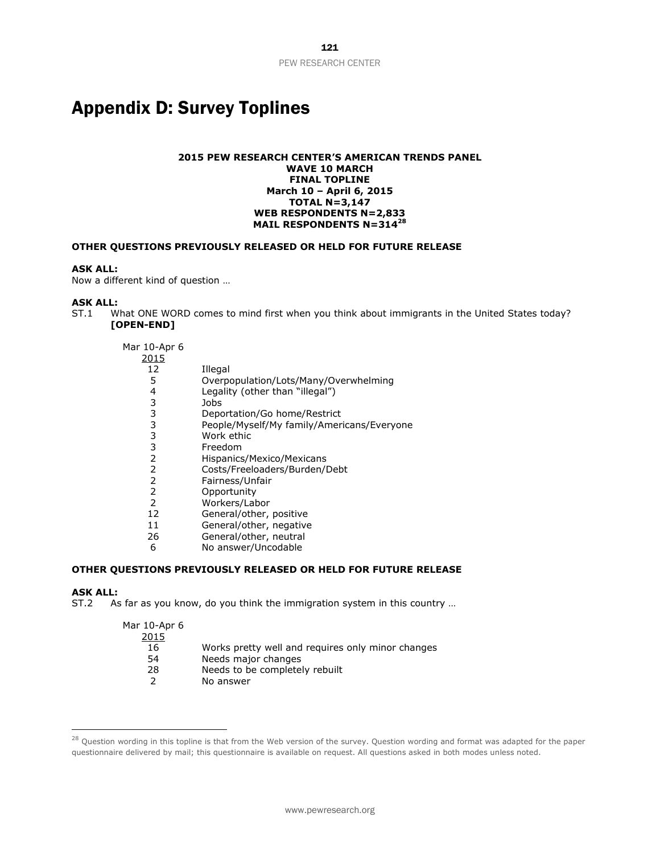# Appendix D: Survey Toplines

### **2015 PEW RESEARCH CENTER'S AMERICAN TRENDS PANEL WAVE 10 MARCH FINAL TOPLINE March 10 – April 6, 2015 TOTAL N=3,147 WEB RESPONDENTS N=2,833 MAIL RESPONDENTS N=314<sup>28</sup>**

### **OTHER QUESTIONS PREVIOUSLY RELEASED OR HELD FOR FUTURE RELEASE**

### **ASK ALL:**

Now a different kind of question …

# **ASK ALL:**<br>ST.1 W

What ONE WORD comes to mind first when you think about immigrants in the United States today? **[OPEN-END]**

| Mar 10-Apr 6 |                                            |
|--------------|--------------------------------------------|
| 2015         |                                            |
| 12           | Illegal                                    |
| 5            | Overpopulation/Lots/Many/Overwhelming      |
| 4            | Legality (other than "illegal")            |
| 3            | Jobs                                       |
| 3            | Deportation/Go home/Restrict               |
| 3            | People/Myself/My family/Americans/Everyone |
| 3            | Work ethic                                 |
| 3            | Freedom                                    |
| 2            | Hispanics/Mexico/Mexicans                  |
| 2            | Costs/Freeloaders/Burden/Debt              |
| 2            | Fairness/Unfair                            |
| 2            | Opportunity                                |
| 2            | Workers/Labor                              |
| 12           | General/other, positive                    |
| 11           | General/other, negative                    |
| 26           | General/other, neutral                     |
| 6            | No answer/Uncodable                        |

## **OTHER QUESTIONS PREVIOUSLY RELEASED OR HELD FOR FUTURE RELEASE**

#### **ASK ALL:**

 $\overline{a}$ 

ST.2 As far as you know, do you think the immigration system in this country …

| Works pretty well and requires only minor changes |
|---------------------------------------------------|
| Needs major changes                               |
| Needs to be completely rebuilt                    |
| No answer                                         |
|                                                   |

<sup>&</sup>lt;sup>28</sup> Question wording in this topline is that from the Web version of the survey. Question wording and format was adapted for the paper questionnaire delivered by mail; this questionnaire is available on request. All questions asked in both modes unless noted.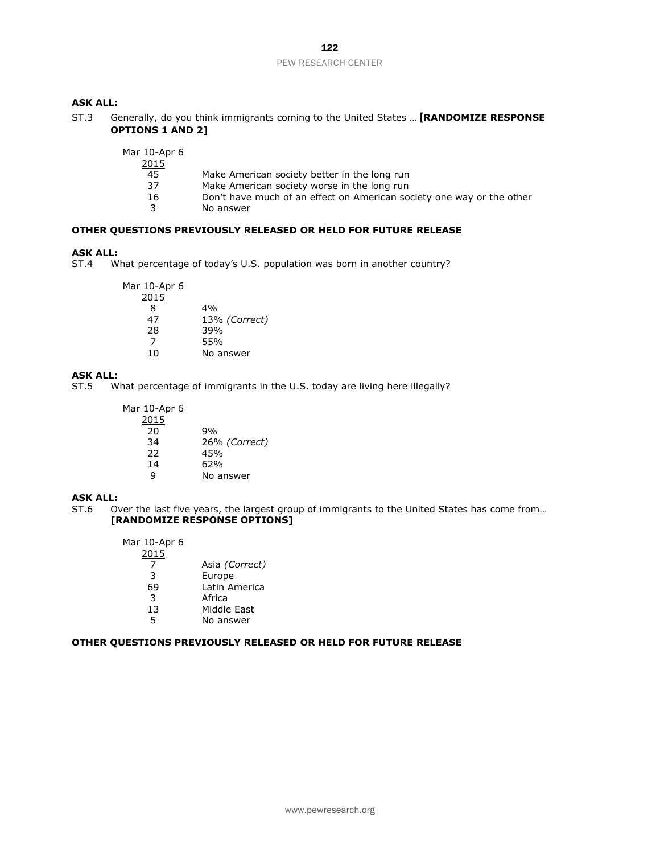# 122 PEW RESEARCH CENTER

# **ASK ALL:**

ST.3 Generally, do you think immigrants coming to the United States … **[RANDOMIZE RESPONSE OPTIONS 1 AND 2]**

| Mar 10-Apr 6 |  |
|--------------|--|
| つの15         |  |

- $rac{2015}{45}$
- 45 Make American society better in the long run<br>37 Make American society worse in the long run
- 37 Make American society worse in the long run<br>16 Don't have much of an effect on American so Don't have much of an effect on American society one way or the other
- 3 No answer

### **OTHER QUESTIONS PREVIOUSLY RELEASED OR HELD FOR FUTURE RELEASE**

### **ASK ALL:**

ST.4 What percentage of today's U.S. population was born in another country?

| Mar 10-Apr 6 |               |
|--------------|---------------|
| 2015         |               |
| 8            | 4%            |
| 47           | 13% (Correct) |
| 28           | 39%           |
| 7            | 55%           |
| 10           | No answer     |

# **ASK ALL:**<br>ST.5 W

What percentage of immigrants in the U.S. today are living here illegally?

| Mar 10-Apr 6 |               |
|--------------|---------------|
| 2015         |               |
| 20           | ዓ%            |
| 34           | 26% (Correct) |
| 22           | 45%           |
| 14           | 62%           |
| q            | No answer     |

### **ASK ALL:**

ST.6 Over the last five years, the largest group of immigrants to the United States has come from… **[RANDOMIZE RESPONSE OPTIONS]**

| Mar 10-Apr 6 |                       |
|--------------|-----------------------|
| 2015         |                       |
|              | Asia <i>(Correct)</i> |
| 3            | Europe                |
| 69           | Latin America         |
| 3            | Africa                |
| 13           | Middle East           |
| 5            | No answer             |
|              |                       |

### **OTHER QUESTIONS PREVIOUSLY RELEASED OR HELD FOR FUTURE RELEASE**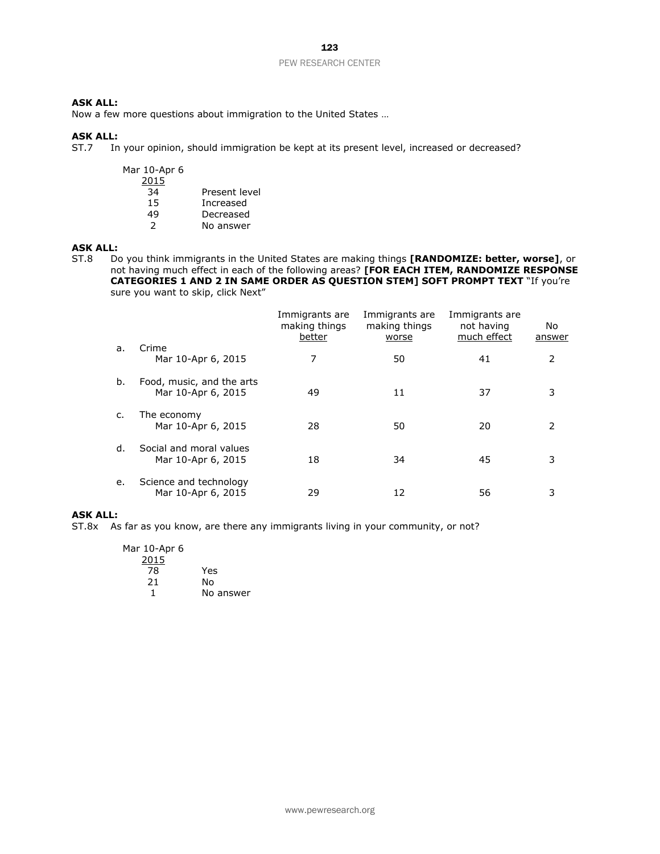# **ASK ALL:**

Now a few more questions about immigration to the United States …

### **ASK ALL:**

ST.7 In your opinion, should immigration be kept at its present level, increased or decreased?

| Mar 10-Apr 6<br>2015 |               |
|----------------------|---------------|
| 34                   | Present level |
| 15                   | Increased     |
| 49                   | Decreased     |
| 2                    | No answer     |
|                      |               |

### **ASK ALL:**

ST.8 Do you think immigrants in the United States are making things **[RANDOMIZE: better, worse]**, or not having much effect in each of the following areas? **[FOR EACH ITEM, RANDOMIZE RESPONSE CATEGORIES 1 AND 2 IN SAME ORDER AS QUESTION STEM] SOFT PROMPT TEXT** "If you're sure you want to skip, click Next"

|    |                                                 | Immigrants are<br>making things<br>better | Immigrants are<br>making things<br>worse | Immigrants are<br>not having<br>much effect | No.<br>answer |
|----|-------------------------------------------------|-------------------------------------------|------------------------------------------|---------------------------------------------|---------------|
| a. | Crime<br>Mar 10-Apr 6, 2015                     | 7                                         | 50                                       | 41                                          | 2             |
| b. | Food, music, and the arts<br>Mar 10-Apr 6, 2015 | 49                                        | 11                                       | 37                                          | 3             |
| c. | The economy<br>Mar 10-Apr 6, 2015               | 28                                        | 50                                       | 20                                          | $\mathcal{P}$ |
| d. | Social and moral values<br>Mar 10-Apr 6, 2015   | 18                                        | 34                                       | 45                                          | 3             |
| e. | Science and technology<br>Mar 10-Apr 6, 2015    | 29                                        | 12                                       | 56                                          | 3             |

### **ASK ALL:**

ST.8x As far as you know, are there any immigrants living in your community, or not?

| Mar 10-Apr 6 |           |
|--------------|-----------|
| 2015         |           |
| 78           | Yes       |
| 21           | N٥        |
|              | No answer |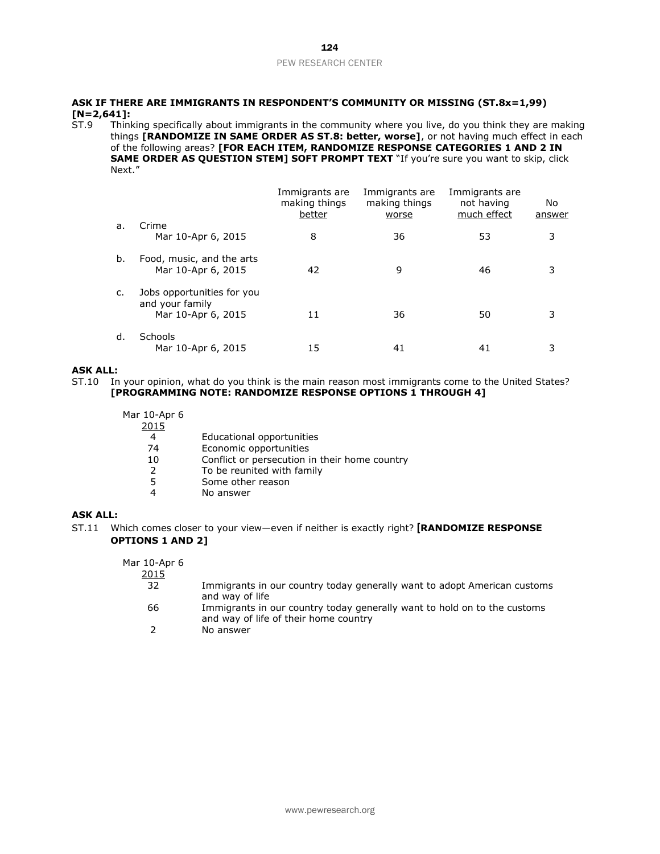## 124 PEW RESEARCH CENTER

# **ASK IF THERE ARE IMMIGRANTS IN RESPONDENT'S COMMUNITY OR MISSING (ST.8x=1,99) [N=2,641]:**

Thinking specifically about immigrants in the community where you live, do you think they are making things **[RANDOMIZE IN SAME ORDER AS ST.8: better, worse]**, or not having much effect in each of the following areas? **[FOR EACH ITEM, RANDOMIZE RESPONSE CATEGORIES 1 AND 2 IN SAME ORDER AS QUESTION STEM] SOFT PROMPT TEXT** "If you're sure you want to skip, click Next."

|    |                                                 | Immigrants are<br>making things<br>better | Immigrants are<br>making things<br>worse | Immigrants are<br>not having<br>much effect | No<br>answer |
|----|-------------------------------------------------|-------------------------------------------|------------------------------------------|---------------------------------------------|--------------|
| а. | Crime                                           |                                           |                                          |                                             |              |
|    | Mar 10-Apr 6, 2015                              | 8                                         | 36                                       | 53                                          | 3            |
| b. | Food, music, and the arts<br>Mar 10-Apr 6, 2015 | 42                                        | 9                                        | 46                                          |              |
| C. | Jobs opportunities for you                      |                                           |                                          |                                             |              |
|    | and your family<br>Mar 10-Apr 6, 2015           | 11                                        | 36                                       | 50                                          |              |
| d. | Schools<br>Mar 10-Apr 6, 2015                   | 15                                        | 41                                       | 41                                          |              |

### **ASK ALL:**

ST.10 In your opinion, what do you think is the main reason most immigrants come to the United States? **[PROGRAMMING NOTE: RANDOMIZE RESPONSE OPTIONS 1 THROUGH 4]**

| Mar 10-Apr 6<br>2015 |                                               |
|----------------------|-----------------------------------------------|
| 4                    | Educational opportunities                     |
| 74                   | Economic opportunities                        |
| 10                   | Conflict or persecution in their home country |
| 2                    | To be reunited with family                    |
| 5                    | Some other reason                             |
| 4                    | No answer                                     |

### **ASK ALL:**

ST.11 Which comes closer to your view—even if neither is exactly right? **[RANDOMIZE RESPONSE OPTIONS 1 AND 2]**

| Mar 10-Apr 6<br>2015 |                                                                                                                   |
|----------------------|-------------------------------------------------------------------------------------------------------------------|
| 32                   | Immigrants in our country today generally want to adopt American customs<br>and way of life                       |
| 66                   | Immigrants in our country today generally want to hold on to the customs<br>and way of life of their home country |
|                      | No answer                                                                                                         |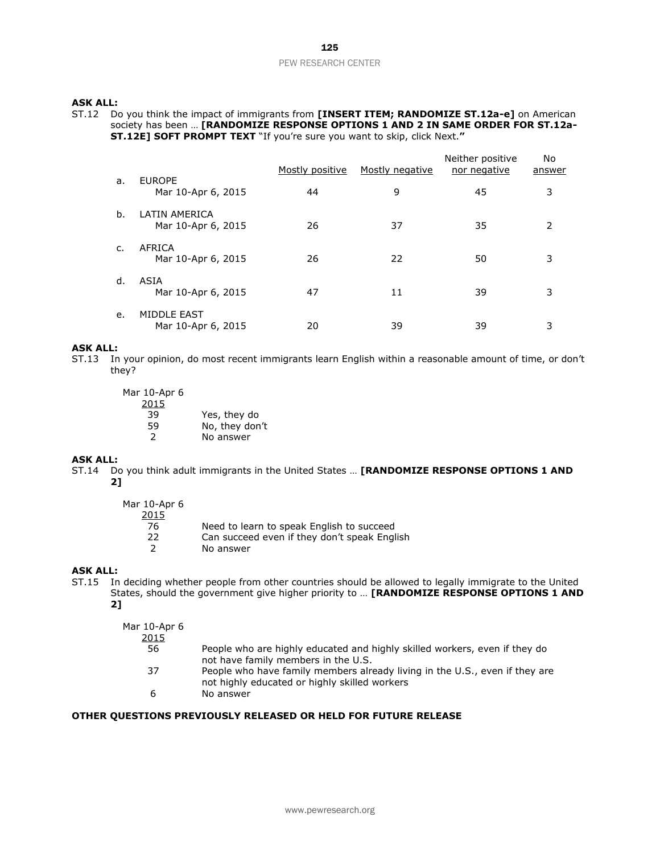# **ASK ALL:**

ST.12 Do you think the impact of immigrants from **[INSERT ITEM; RANDOMIZE ST.12a-e]** on American society has been … **[RANDOMIZE RESPONSE OPTIONS 1 AND 2 IN SAME ORDER FOR ST.12a-ST.12E] SOFT PROMPT TEXT** "If you're sure you want to skip, click Next.**"**

|    |                                          | Mostly positive | Mostly negative | Neither positive<br>nor negative | No<br>answer  |
|----|------------------------------------------|-----------------|-----------------|----------------------------------|---------------|
| a. | <b>EUROPE</b><br>Mar 10-Apr 6, 2015      | 44              | 9               | 45                               | 3             |
| h. | LATIN AMERICA<br>Mar 10-Apr 6, 2015      | 26              | 37              | 35                               | $\mathcal{P}$ |
| C. | AFRICA<br>Mar 10-Apr 6, 2015             | 26              | 22              | 50                               | 3             |
| d. | ASIA<br>Mar 10-Apr 6, 2015               | 47              | 11              | 39                               | 3             |
| e. | <b>MIDDLE EAST</b><br>Mar 10-Apr 6, 2015 | 20              | 39              | 39                               | 3             |

### **ASK ALL:**

ST.13 In your opinion, do most recent immigrants learn English within a reasonable amount of time, or don't they?

| Mar 10-Apr 6  |                |
|---------------|----------------|
| 2015          |                |
| 39            | Yes, they do   |
| 59            | No, they don't |
| $\mathcal{L}$ | No answer      |
|               |                |

# **ASK ALL:**

ST.14 Do you think adult immigrants in the United States … **[RANDOMIZE RESPONSE OPTIONS 1 AND 2]**

| Mar 10-Apr 6<br>2015<br>76<br>22 | Need to learn to speak English to succeed<br>Can succeed even if they don't speak English |
|----------------------------------|-------------------------------------------------------------------------------------------|
|                                  | No answer                                                                                 |

## **ASK ALL:**

ST.15 In deciding whether people from other countries should be allowed to legally immigrate to the United States, should the government give higher priority to … **[RANDOMIZE RESPONSE OPTIONS 1 AND 2]**

| Mar 10-Apr 6<br>2015 |                                                                                                                              |
|----------------------|------------------------------------------------------------------------------------------------------------------------------|
| 56                   | People who are highly educated and highly skilled workers, even if they do<br>not have family members in the U.S.            |
| 37                   | People who have family members already living in the U.S., even if they are<br>not highly educated or highly skilled workers |
| b                    | No answer                                                                                                                    |

### **OTHER QUESTIONS PREVIOUSLY RELEASED OR HELD FOR FUTURE RELEASE**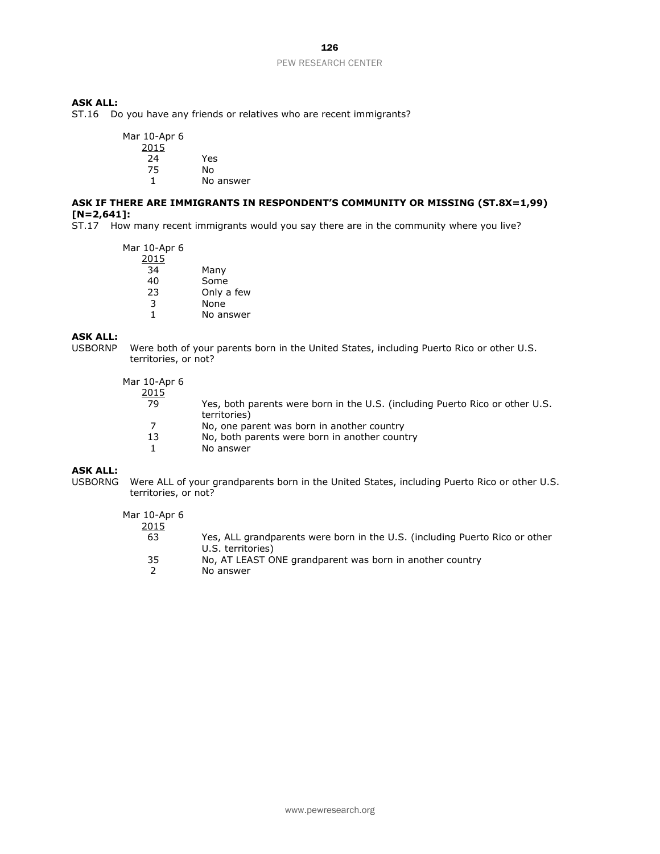# 126

### PEW RESEARCH CENTER

# **ASK ALL:**

ST.16 Do you have any friends or relatives who are recent immigrants?

| Mar 10-Apr 6 |           |
|--------------|-----------|
| 2015         |           |
| 24           | Yes       |
| 75           | N٥        |
| 1            | No answer |

### **ASK IF THERE ARE IMMIGRANTS IN RESPONDENT'S COMMUNITY OR MISSING (ST.8X=1,99) [N=2,641]:**

ST.17 How many recent immigrants would you say there are in the community where you live?

Mar 10-Apr 6 2015 34 Many 40 Some<br>23 Only a Only a few 3 None<br>1 No an No answer

# **ASK ALL:**

USBORNP Were both of your parents born in the United States, including Puerto Rico or other U.S. territories, or not?

Mar 10-Apr 6

| LU-ADI 0     |                                                                                              |
|--------------|----------------------------------------------------------------------------------------------|
| <u> 2015</u> |                                                                                              |
| 79           | Yes, both parents were born in the U.S. (including Puerto Rico or other U.S.<br>territories) |
|              | No, one parent was born in another country                                                   |
| 13           | No, both parents were born in another country                                                |
|              | No answer                                                                                    |
|              |                                                                                              |

### **ASK ALL:**

USBORNG Were ALL of your grandparents born in the United States, including Puerto Rico or other U.S. territories, or not?

# Mar 10-Apr 6

| 2015 |                                                                             |
|------|-----------------------------------------------------------------------------|
| 63   | Yes, ALL grandparents were born in the U.S. (including Puerto Rico or other |
|      | U.S. territories)                                                           |
| 35   | No, AT LEAST ONE grandparent was born in another country                    |
|      | No answer                                                                   |
|      |                                                                             |